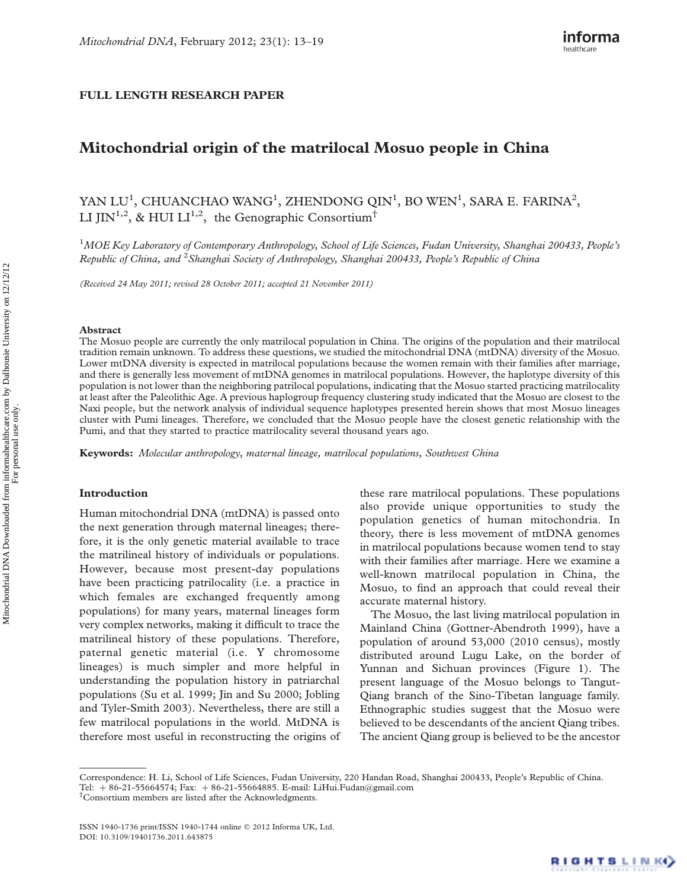## FULL LENGTH RESEARCH PAPER

# Mitochondrial origin of the matrilocal Mosuo people in China

YAN LU<sup>1</sup>, CHUANCHAO WANG<sup>1</sup>, ZHENDONG QIN<sup>1</sup>, BO WEN<sup>1</sup>, SARA E. FARINA<sup>2</sup>, LI JIN<sup>1,2</sup>, & HUI LI<sup>1,2</sup>, the Genographic Consortium<sup>†</sup>

<sup>1</sup>MOE Key Laboratory of Contemporary Anthropology, School of Life Sciences, Fudan University, Shanghai 200433, People's Republic of China, and <sup>2</sup> Shanghai Society of Anthropology, Shanghai 200433, People's Republic of China

(Received 24 May 2011; revised 28 October 2011; accepted 21 November 2011)

#### Abstract

The Mosuo people are currently the only matrilocal population in China. The origins of the population and their matrilocal tradition remain unknown. To address these questions, we studied the mitochondrial DNA (mtDNA) diversity of the Mosuo. Lower mtDNA diversity is expected in matrilocal populations because the women remain with their families after marriage, and there is generally less movement of mtDNA genomes in matrilocal populations. However, the haplotype diversity of this population is not lower than the neighboring patrilocal populations, indicating that the Mosuo started practicing matrilocality at least after the Paleolithic Age. A previous haplogroup frequency clustering study indicated that the Mosuo are closest to the Naxi people, but the network analysis of individual sequence haplotypes presented herein shows that most Mosuo lineages cluster with Pumi lineages. Therefore, we concluded that the Mosuo people have the closest genetic relationship with the Pumi, and that they started to practice matrilocality several thousand years ago.

Keywords: Molecular anthropology, maternal lineage, matrilocal populations, Southwest China

## Introduction

Human mitochondrial DNA (mtDNA) is passed onto the next generation through maternal lineages; therefore, it is the only genetic material available to trace the matrilineal history of individuals or populations. However, because most present-day populations have been practicing patrilocality (i.e. a practice in which females are exchanged frequently among populations) for many years, maternal lineages form very complex networks, making it difficult to trace the matrilineal history of these populations. Therefore, paternal genetic material (i.e. Y chromosome lineages) is much simpler and more helpful in understanding the population history in patriarchal populations (Su et al. 1999; Jin and Su 2000; Jobling and Tyler-Smith 2003). Nevertheless, there are still a few matrilocal populations in the world. MtDNA is therefore most useful in reconstructing the origins of

these rare matrilocal populations. These populations also provide unique opportunities to study the population genetics of human mitochondria. In theory, there is less movement of mtDNA genomes in matrilocal populations because women tend to stay with their families after marriage. Here we examine a well-known matrilocal population in China, the Mosuo, to find an approach that could reveal their accurate maternal history.

The Mosuo, the last living matrilocal population in Mainland China (Gottner-Abendroth 1999), have a population of around 53,000 (2010 census), mostly distributed around Lugu Lake, on the border of Yunnan and Sichuan provinces (Figure 1). The present language of the Mosuo belongs to Tangut-Qiang branch of the Sino-Tibetan language family. Ethnographic studies suggest that the Mosuo were believed to be descendants of the ancient Qiang tribes. The ancient Qiang group is believed to be the ancestor

Correspondence: H. Li, School of Life Sciences, Fudan University, 220 Handan Road, Shanghai 200433, People's Republic of China. Tel:  $+86-21-55664574$ ; Fax:  $+86-21-55664885$ . E-mail: LiHui.Fudan@gmail.com

Consortium members are listed after the Acknowledgments.

ISSN 1940-1736 print/ISSN 1940-1744 online q 2012 Informa UK, Ltd. DOI: 10.3109/19401736.2011.643875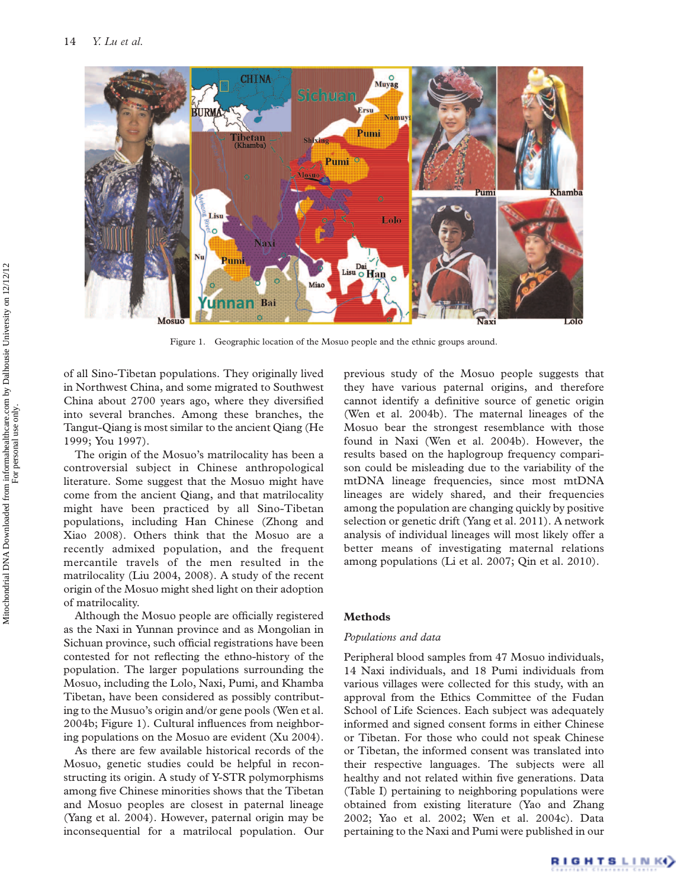

Figure 1. Geographic location of the Mosuo people and the ethnic groups around.

of all Sino-Tibetan populations. They originally lived in Northwest China, and some migrated to Southwest China about 2700 years ago, where they diversified into several branches. Among these branches, the Tangut-Qiang is most similar to the ancient Qiang (He 1999; You 1997).

The origin of the Mosuo's matrilocality has been a controversial subject in Chinese anthropological literature. Some suggest that the Mosuo might have come from the ancient Qiang, and that matrilocality might have been practiced by all Sino-Tibetan populations, including Han Chinese (Zhong and Xiao 2008). Others think that the Mosuo are a recently admixed population, and the frequent mercantile travels of the men resulted in the matrilocality (Liu 2004, 2008). A study of the recent origin of the Mosuo might shed light on their adoption of matrilocality.

Although the Mosuo people are officially registered as the Naxi in Yunnan province and as Mongolian in Sichuan province, such official registrations have been contested for not reflecting the ethno-history of the population. The larger populations surrounding the Mosuo, including the Lolo, Naxi, Pumi, and Khamba Tibetan, have been considered as possibly contributing to the Musuo's origin and/or gene pools (Wen et al. 2004b; Figure 1). Cultural influences from neighboring populations on the Mosuo are evident (Xu 2004).

As there are few available historical records of the Mosuo, genetic studies could be helpful in reconstructing its origin. A study of Y-STR polymorphisms among five Chinese minorities shows that the Tibetan and Mosuo peoples are closest in paternal lineage (Yang et al. 2004). However, paternal origin may be inconsequential for a matrilocal population. Our previous study of the Mosuo people suggests that they have various paternal origins, and therefore cannot identify a definitive source of genetic origin (Wen et al. 2004b). The maternal lineages of the Mosuo bear the strongest resemblance with those found in Naxi (Wen et al. 2004b). However, the results based on the haplogroup frequency comparison could be misleading due to the variability of the mtDNA lineage frequencies, since most mtDNA lineages are widely shared, and their frequencies among the population are changing quickly by positive selection or genetic drift (Yang et al. 2011). A network analysis of individual lineages will most likely offer a better means of investigating maternal relations among populations (Li et al. 2007; Qin et al. 2010).

## Methods

### Populations and data

Peripheral blood samples from 47 Mosuo individuals, 14 Naxi individuals, and 18 Pumi individuals from various villages were collected for this study, with an approval from the Ethics Committee of the Fudan School of Life Sciences. Each subject was adequately informed and signed consent forms in either Chinese or Tibetan. For those who could not speak Chinese or Tibetan, the informed consent was translated into their respective languages. The subjects were all healthy and not related within five generations. Data (Table I) pertaining to neighboring populations were obtained from existing literature (Yao and Zhang 2002; Yao et al. 2002; Wen et al. 2004c). Data pertaining to the Naxi and Pumi were published in our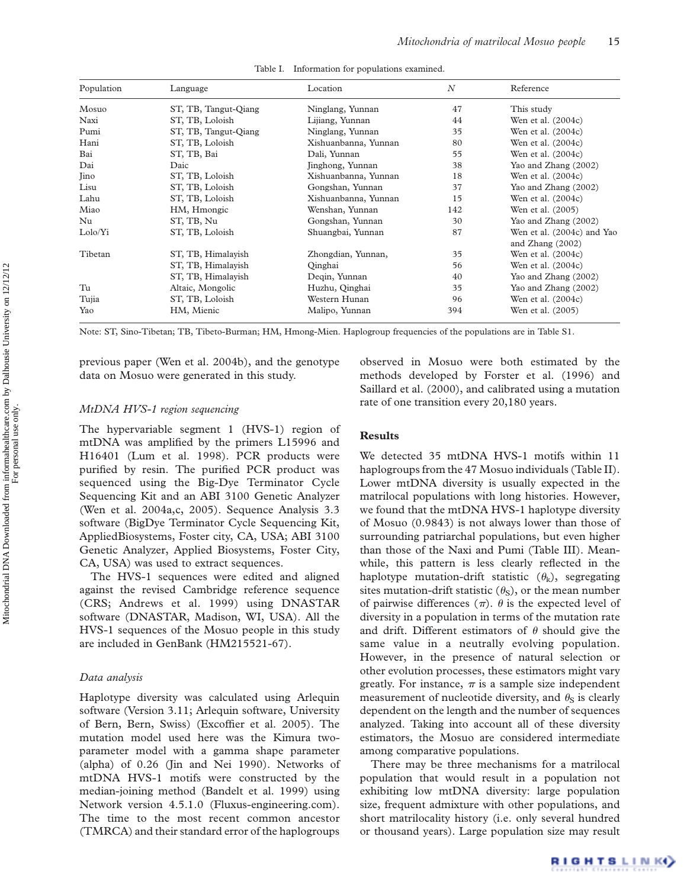| Population | Language             | Location             | $\boldsymbol{N}$ | Reference                                       |
|------------|----------------------|----------------------|------------------|-------------------------------------------------|
| Mosuo      | ST, TB, Tangut-Qiang | Ninglang, Yunnan     | 47               | This study                                      |
| Naxi       | ST, TB, Loloish      | Lijiang, Yunnan      | 44               | Wen et al. $(2004c)$                            |
| Pumi       | ST, TB, Tangut-Qiang | Ninglang, Yunnan     | 35               | Wen et al. (2004c)                              |
| Hani       | ST, TB, Loloish      | Xishuanbanna, Yunnan | 80               | Wen et al. $(2004c)$                            |
| Bai        | ST, TB, Bai          | Dali, Yunnan         | 55               | Wen et al. (2004c)                              |
| Dai        | Daic                 | Jinghong, Yunnan     | 38               | Yao and Zhang (2002)                            |
| Jino       | ST, TB, Loloish      | Xishuanbanna, Yunnan | 18               | Wen et al. (2004c)                              |
| Lisu       | ST, TB, Loloish      | Gongshan, Yunnan     | 37               | Yao and Zhang (2002)                            |
| Lahu       | ST, TB, Loloish      | Xishuanbanna, Yunnan | 15               | Wen et al. (2004c)                              |
| Miao       | HM, Hmongic          | Wenshan, Yunnan      | 142              | Wen et al. (2005)                               |
| Nu         | ST, TB, Nu           | Gongshan, Yunnan     | 30               | Yao and Zhang (2002)                            |
| Lolo/Yi    | ST, TB, Loloish      | Shuangbai, Yunnan    | 87               | Wen et al. (2004c) and Yao<br>and $Zhang(2002)$ |
| Tibetan    | ST, TB, Himalayish   | Zhongdian, Yunnan,   | 35               | Wen et al. (2004c)                              |
|            | ST, TB, Himalayish   | Qinghai              | 56               | Wen et al. (2004c)                              |
|            | ST, TB, Himalayish   | Degin, Yunnan        | 40               | Yao and Zhang (2002)                            |
| Tu         | Altaic, Mongolic     | Huzhu, Qinghai       | 35               | Yao and Zhang (2002)                            |
| Tujia      | ST, TB, Loloish      | Western Hunan        | 96               | Wen et al. (2004c)                              |
| Yao        | HM, Mienic           | Malipo, Yunnan       | 394              | Wen et al. (2005)                               |

Table I. Information for populations examined.

Note: ST, Sino-Tibetan; TB, Tibeto-Burman; HM, Hmong-Mien. Haplogroup frequencies of the populations are in Table S1.

previous paper (Wen et al. 2004b), and the genotype data on Mosuo were generated in this study.

#### MtDNA HVS-1 region sequencing

The hypervariable segment 1 (HVS-1) region of mtDNA was amplified by the primers L15996 and H16401 (Lum et al. 1998). PCR products were purified by resin. The purified PCR product was sequenced using the Big-Dye Terminator Cycle Sequencing Kit and an ABI 3100 Genetic Analyzer (Wen et al. 2004a,c, 2005). Sequence Analysis 3.3 software (BigDye Terminator Cycle Sequencing Kit, AppliedBiosystems, Foster city, CA, USA; ABI 3100 Genetic Analyzer, Applied Biosystems, Foster City, CA, USA) was used to extract sequences.

The HVS-1 sequences were edited and aligned against the revised Cambridge reference sequence (CRS; Andrews et al. 1999) using DNASTAR software (DNASTAR, Madison, WI, USA). All the HVS-1 sequences of the Mosuo people in this study are included in GenBank (HM215521-67).

#### Data analysis

Haplotype diversity was calculated using Arlequin software (Version 3.11; Arlequin software, University of Bern, Bern, Swiss) (Excoffier et al. 2005). The mutation model used here was the Kimura twoparameter model with a gamma shape parameter (alpha) of 0.26 (Jin and Nei 1990). Networks of mtDNA HVS-1 motifs were constructed by the median-joining method (Bandelt et al. 1999) using Network version 4.5.1.0 (Fluxus-engineering.com). The time to the most recent common ancestor (TMRCA) and their standard error of the haplogroups

observed in Mosuo were both estimated by the methods developed by Forster et al. (1996) and Saillard et al. (2000), and calibrated using a mutation rate of one transition every 20,180 years.

## Results

We detected 35 mtDNA HVS-1 motifs within 11 haplogroups from the 47 Mosuo individuals (Table II). Lower mtDNA diversity is usually expected in the matrilocal populations with long histories. However, we found that the mtDNA HVS-1 haplotype diversity of Mosuo (0.9843) is not always lower than those of surrounding patriarchal populations, but even higher than those of the Naxi and Pumi (Table III). Meanwhile, this pattern is less clearly reflected in the haplotype mutation-drift statistic  $(\theta_k)$ , segregating sites mutation-drift statistic  $(\theta_s)$ , or the mean number of pairwise differences  $(\pi)$ .  $\theta$  is the expected level of diversity in a population in terms of the mutation rate and drift. Different estimators of  $\theta$  should give the same value in a neutrally evolving population. However, in the presence of natural selection or other evolution processes, these estimators might vary greatly. For instance,  $\pi$  is a sample size independent measurement of nucleotide diversity, and  $\theta_{\rm S}$  is clearly dependent on the length and the number of sequences analyzed. Taking into account all of these diversity estimators, the Mosuo are considered intermediate among comparative populations.

There may be three mechanisms for a matrilocal population that would result in a population not exhibiting low mtDNA diversity: large population size, frequent admixture with other populations, and short matrilocality history (i.e. only several hundred or thousand years). Large population size may result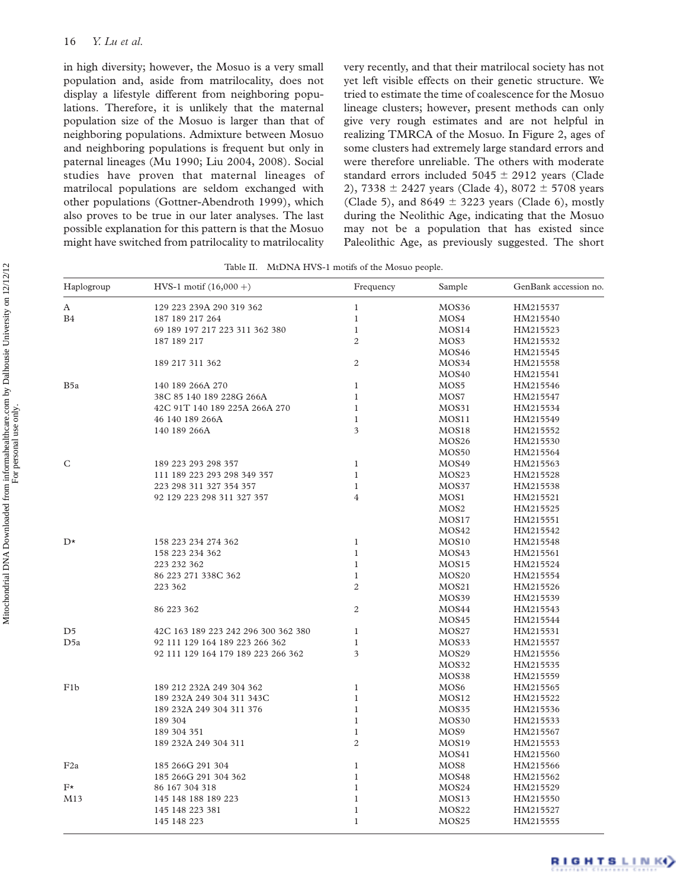in high diversity; however, the Mosuo is a very small population and, aside from matrilocality, does not display a lifestyle different from neighboring populations. Therefore, it is unlikely that the maternal population size of the Mosuo is larger than that of neighboring populations. Admixture between Mosuo and neighboring populations is frequent but only in paternal lineages (Mu 1990; Liu 2004, 2008). Social studies have proven that maternal lineages of matrilocal populations are seldom exchanged with other populations (Gottner-Abendroth 1999), which also proves to be true in our later analyses. The last possible explanation for this pattern is that the Mosuo might have switched from patrilocality to matrilocality very recently, and that their matrilocal society has not yet left visible effects on their genetic structure. We tried to estimate the time of coalescence for the Mosuo lineage clusters; however, present methods can only give very rough estimates and are not helpful in realizing TMRCA of the Mosuo. In Figure 2, ages of some clusters had extremely large standard errors and were therefore unreliable. The others with moderate standard errors included  $5045 \pm 2912$  years (Clade 2), 7338  $\pm$  2427 years (Clade 4), 8072  $\pm$  5708 years (Clade 5), and  $8649 \pm 3223$  years (Clade 6), mostly during the Neolithic Age, indicating that the Mosuo may not be a population that has existed since Paleolithic Age, as previously suggested. The short

| Table II. MtDNA HVS-1 motifs of the Mosuo people. |  |  |  |
|---------------------------------------------------|--|--|--|
|---------------------------------------------------|--|--|--|

| Haplogroup       | HVS-1 motif $(16,000 +)$            | Frequency      | Sample            | GenBank accession no. |
|------------------|-------------------------------------|----------------|-------------------|-----------------------|
| A                | 129 223 239A 290 319 362            | $\mathbf{1}$   | MOS36             | HM215537              |
| B <sub>4</sub>   | 187 189 217 264                     | $\mathbf{1}$   | MOS4              | HM215540              |
|                  | 69 189 197 217 223 311 362 380      | $\mathbf{1}$   | MOS <sub>14</sub> | HM215523              |
|                  | 187 189 217                         | $\overline{c}$ | MOS3              | HM215532              |
|                  |                                     |                | MOS46             | HM215545              |
|                  | 189 217 311 362                     | $\overline{c}$ | MOS34             | HM215558              |
|                  |                                     |                | MOS40             | HM215541              |
| B5a              | 140 189 266A 270                    | $\mathbf{1}$   | MOS5              | HM215546              |
|                  | 38C 85 140 189 228G 266A            | $\mathbf{1}$   | MOS7              | HM215547              |
|                  | 42C 91T 140 189 225A 266A 270       | $\mathbf{1}$   | MOS31             | HM215534              |
|                  | 46 140 189 266A                     | $\mathbf{1}$   | MOS11             | HM215549              |
|                  | 140 189 266A                        | 3              | MOS <sub>18</sub> | HM215552              |
|                  |                                     |                | MOS26             | HM215530              |
|                  |                                     |                | MOS50             | HM215564              |
| C                | 189 223 293 298 357                 | $\mathbf{1}$   | MOS49             | HM215563              |
|                  | 111 189 223 293 298 349 357         | $\mathbf{1}$   | MOS <sub>23</sub> | HM215528              |
|                  | 223 298 311 327 354 357             | $\mathbf{1}$   | MOS37             | HM215538              |
|                  | 92 129 223 298 311 327 357          | $\overline{4}$ | MOS1              | HM215521              |
|                  |                                     |                | MOS2              | HM215525              |
|                  |                                     |                | MOS17             | HM215551              |
|                  |                                     |                | MOS42             | HM215542              |
| $D^{\star}$      | 158 223 234 274 362                 | $\mathbf{1}$   | MOS <sub>10</sub> | HM215548              |
|                  | 158 223 234 362                     | $\mathbf{1}$   | MOS43             | HM215561              |
|                  | 223 232 362                         | $\mathbf{1}$   | MOS15             | HM215524              |
|                  | 86 223 271 338C 362                 | $\mathbf{1}$   | MOS <sub>20</sub> | HM215554              |
|                  | 223 362                             | $\overline{2}$ | MOS21             | HM215526              |
|                  |                                     |                | MOS39             | HM215539              |
|                  | 86 223 362                          | $\mathbf{2}$   | MOS44             | HM215543              |
|                  |                                     |                | MOS45             | HM215544              |
| D <sub>5</sub>   | 42C 163 189 223 242 296 300 362 380 | $\mathbf{1}$   | MOS27             | HM215531              |
| D <sub>5a</sub>  | 92 111 129 164 189 223 266 362      | $\mathbf{1}$   | MOS33             | HM215557              |
|                  | 92 111 129 164 179 189 223 266 362  | 3              | MOS <sub>29</sub> | HM215556              |
|                  |                                     |                | MOS32             | HM215535              |
|                  |                                     |                | MOS38             | HM215559              |
| F <sub>1</sub> b | 189 212 232A 249 304 362            | $\mathbf{1}$   | MOS <sub>6</sub>  | HM215565              |
|                  | 189 232A 249 304 311 343C           | $\mathbf{1}$   | MOS <sub>12</sub> | HM215522              |
|                  | 189 232A 249 304 311 376            | $\mathbf{1}$   | MOS35             | HM215536              |
|                  | 189 304                             | $\mathbf{1}$   | MOS30             | HM215533              |
|                  | 189 304 351                         | $\mathbf{1}$   | MOS9              | HM215567              |
|                  | 189 232A 249 304 311                | $\overline{2}$ | MOS19             | HM215553              |
|                  |                                     |                | MOS41             | HM215560              |
| F <sub>2</sub> a | 185 266G 291 304                    | $\mathbf{1}$   | MOS8              | HM215566              |
|                  | 185 266G 291 304 362                | $\mathbf{1}$   | MOS <sub>48</sub> | HM215562              |
| $F^{\star}$      | 86 167 304 318                      | $\mathbf{1}$   | MOS24             | HM215529              |
| M13              | 145 148 188 189 223                 | $\mathbf{1}$   | MOS <sub>13</sub> | HM215550              |
|                  | 145 148 223 381                     | $\mathbf{1}$   | MOS <sub>22</sub> | HM215527              |
|                  | 145 148 223                         | $\mathbf{1}$   | MOS <sub>25</sub> | HM215555              |
|                  |                                     |                |                   |                       |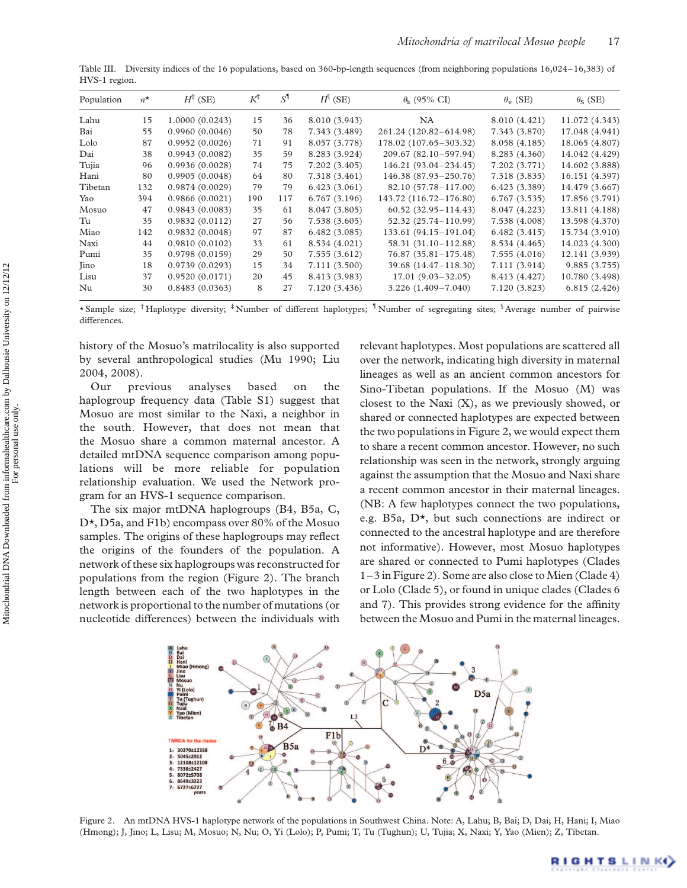| Population | $n^{\star}$ | $H^{\dagger}$ (SE) | $K^{\ddagger}$ | $S^{\P}$ | $\Pi^{\S}$ (SE) | $\theta_k$ (95% CI)        | $\theta_{\pi}$ (SE) | $\theta_{\rm S}$ (SE) |
|------------|-------------|--------------------|----------------|----------|-----------------|----------------------------|---------------------|-----------------------|
| Lahu       | 15          | 1.0000(0.0243)     | 15             | 36       | 8.010 (3.943)   | NA.                        | 8.010 (4.421)       | 11.072 (4.343)        |
| Bai        | 55          | 0.9960(0.0046)     | 50             | 78       | 7.343 (3.489)   | 261.24 (120.82-614.98)     | 7.343 (3.870)       | 17.048 (4.941)        |
| Lolo       | 87          | 0.9952(0.0026)     | 71             | 91       | 8.057 (3.778)   | 178.02 (107.65-303.32)     | 8.058 (4.185)       | 18.065 (4.807)        |
| Dai        | 38          | 0.9943(0.0082)     | 35             | 59       | 8.283 (3.924)   | 209.67 (82.10-597.94)      | 8.283 (4.360)       | 14.042 (4.429)        |
| Tujia      | 96          | 0.9936(0.0028)     | 74             | 75       | 7.202(3.405)    | 146.21 (93.04 - 234.45)    | 7.202 (3.771)       | 14.602 (3.888)        |
| Hani       | 80          | 0.9905(0.0048)     | 64             | 80       | 7.318 (3.461)   | 146.38 (87.93-250.76)      | 7.318 (3.835)       | 16.151 (4.397)        |
| Tibetan    | 132         | 0.9874(0.0029)     | 79             | 79       | 6.423(3.061)    | 82.10 (57.78-117.00)       | 6.423 (3.389)       | 14.479 (3.667)        |
| Yao        | 394         | 0.9866(0.0021)     | 190            | 117      | 6.767(3.196)    | 143.72 (116.72-176.80)     | 6.767(3.535)        | 17.856 (3.791)        |
| Mosuo      | 47          | 0.9843(0.0083)     | 35             | 61       | 8.047 (3.805)   | $60.52(32.95 - 114.43)$    | 8.047 (4.223)       | 13.811 (4.188)        |
| Tu         | 35          | 0.9832(0.0112)     | 27             | 56       | 7.538(3.605)    | 52.32 (25.74-110.99)       | 7.538 (4.008)       | 13.598 (4.370)        |
| Miao       | 142         | 0.9832(0.0048)     | 97             | 87       | 6.482(3.085)    | 133.61 (94.15-191.04)      | 6.482(3.415)        | 15.734 (3.910)        |
| Naxi       | 44          | 0.9810(0.0102)     | 33             | 61       | 8.534 (4.021)   | 58.31 (31.10-112.88)       | 8.534 (4.465)       | 14.023 (4.300)        |
| Pumi       | 35          | 0.9798(0.0159)     | 29             | 50       | 7.555(3.612)    | $76.87(35.81 - 175.48)$    | 7.555(4.016)        | 12.141 (3.939)        |
| Jino       | 18          | 0.9739(0.0293)     | 15             | 34       | 7.111(3.500)    | $39.68$ $(14.47 - 118.30)$ | 7.111(3.914)        | 9.885(3.755)          |
| Lisu       | 37          | 0.9520(0.0171)     | 20             | 45       | 8.413 (3.983)   | $17.01(9.03 - 32.05)$      | 8.413 (4.427)       | 10.780 (3.498)        |
| Nu         | 30          | 0.8483(0.0363)     | 8              | 27       | 7.120 (3.436)   | $3.226(1.409 - 7.040)$     | 7.120 (3.823)       | 6.815(2.426)          |
|            |             |                    |                |          |                 |                            |                     |                       |

Table III. Diversity indices of the 16 populations, based on 360-bp-length sequences (from neighboring populations 16,024–16,383) of HVS-1 region.

\* Sample size; † Haplotype diversity; ‡ Number of different haplotypes; { Number of segregating sites; § Average number of pairwise differences.

history of the Mosuo's matrilocality is also supported by several anthropological studies (Mu 1990; Liu 2004, 2008).

Our previous analyses based on the haplogroup frequency data (Table S1) suggest that Mosuo are most similar to the Naxi, a neighbor in the south. However, that does not mean that the Mosuo share a common maternal ancestor. A detailed mtDNA sequence comparison among populations will be more reliable for population relationship evaluation. We used the Network program for an HVS-1 sequence comparison.

The six major mtDNA haplogroups (B4, B5a, C, D\*, D5a, and F1b) encompass over 80% of the Mosuo samples. The origins of these haplogroups may reflect the origins of the founders of the population. A network of these six haplogroups was reconstructed for populations from the region (Figure 2). The branch length between each of the two haplotypes in the network is proportional to the number of mutations (or nucleotide differences) between the individuals with

relevant haplotypes. Most populations are scattered all over the network, indicating high diversity in maternal lineages as well as an ancient common ancestors for Sino-Tibetan populations. If the Mosuo (M) was closest to the Naxi (X), as we previously showed, or shared or connected haplotypes are expected between the two populations in Figure 2, we would expect them to share a recent common ancestor. However, no such relationship was seen in the network, strongly arguing against the assumption that the Mosuo and Naxi share a recent common ancestor in their maternal lineages. (NB: A few haplotypes connect the two populations, e.g. B5a, D\*, but such connections are indirect or connected to the ancestral haplotype and are therefore not informative). However, most Mosuo haplotypes are shared or connected to Pumi haplotypes (Clades 1–3 in Figure 2). Some are also close to Mien (Clade 4) or Lolo (Clade 5), or found in unique clades (Clades 6 and 7). This provides strong evidence for the affinity between the Mosuo and Pumi in the maternal lineages.



Figure 2. An mtDNA HVS-1 haplotype network of the populations in Southwest China. Note: A, Lahu; B, Bai; D, Dai; H, Hani; I, Miao (Hmong); J, Jino; L, Lisu; M, Mosuo; N, Nu; O, Yi (Lolo); P, Pumi; T, Tu (Tughun); U, Tujia; X, Naxi; Y, Yao (Mien); Z, Tibetan.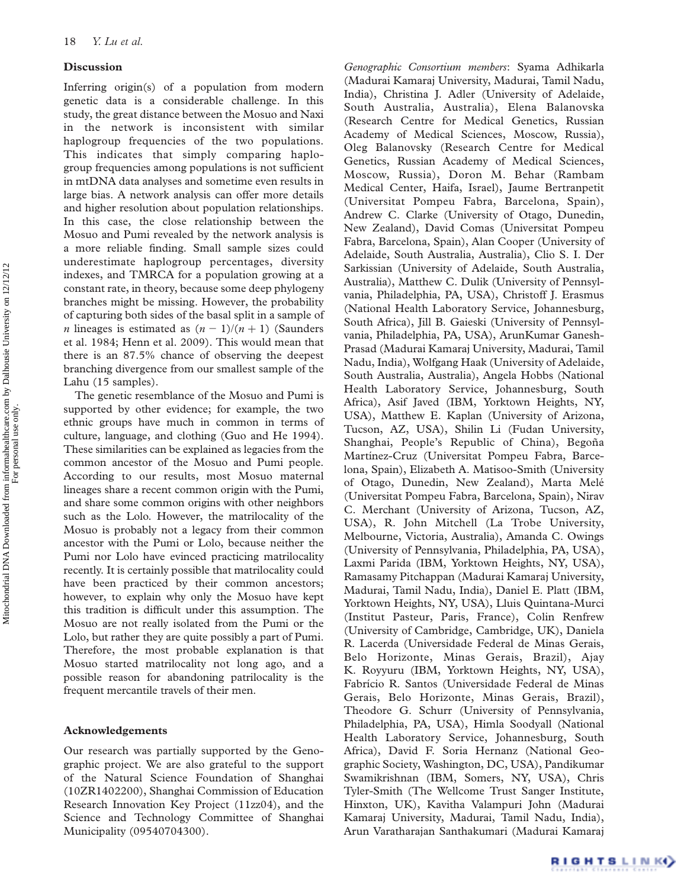## **Discussion**

Inferring origin(s) of a population from modern genetic data is a considerable challenge. In this study, the great distance between the Mosuo and Naxi in the network is inconsistent with similar haplogroup frequencies of the two populations. This indicates that simply comparing haplogroup frequencies among populations is not sufficient in mtDNA data analyses and sometime even results in large bias. A network analysis can offer more details and higher resolution about population relationships. In this case, the close relationship between the Mosuo and Pumi revealed by the network analysis is a more reliable finding. Small sample sizes could underestimate haplogroup percentages, diversity indexes, and TMRCA for a population growing at a constant rate, in theory, because some deep phylogeny branches might be missing. However, the probability of capturing both sides of the basal split in a sample of *n* lineages is estimated as  $(n - 1)/(n + 1)$  (Saunders et al. 1984; Henn et al. 2009). This would mean that there is an 87.5% chance of observing the deepest branching divergence from our smallest sample of the Lahu (15 samples).

The genetic resemblance of the Mosuo and Pumi is supported by other evidence; for example, the two ethnic groups have much in common in terms of culture, language, and clothing (Guo and He 1994). These similarities can be explained as legacies from the common ancestor of the Mosuo and Pumi people. According to our results, most Mosuo maternal lineages share a recent common origin with the Pumi, and share some common origins with other neighbors such as the Lolo. However, the matrilocality of the Mosuo is probably not a legacy from their common ancestor with the Pumi or Lolo, because neither the Pumi nor Lolo have evinced practicing matrilocality recently. It is certainly possible that matrilocality could have been practiced by their common ancestors; however, to explain why only the Mosuo have kept this tradition is difficult under this assumption. The Mosuo are not really isolated from the Pumi or the Lolo, but rather they are quite possibly a part of Pumi. Therefore, the most probable explanation is that Mosuo started matrilocality not long ago, and a possible reason for abandoning patrilocality is the frequent mercantile travels of their men.

### Acknowledgements

Our research was partially supported by the Genographic project. We are also grateful to the support of the Natural Science Foundation of Shanghai (10ZR1402200), Shanghai Commission of Education Research Innovation Key Project (11zz04), and the Science and Technology Committee of Shanghai Municipality (09540704300).

Genographic Consortium members: Syama Adhikarla (Madurai Kamaraj University, Madurai, Tamil Nadu, India), Christina J. Adler (University of Adelaide, South Australia, Australia), Elena Balanovska (Research Centre for Medical Genetics, Russian Academy of Medical Sciences, Moscow, Russia), Oleg Balanovsky (Research Centre for Medical Genetics, Russian Academy of Medical Sciences, Moscow, Russia), Doron M. Behar (Rambam Medical Center, Haifa, Israel), Jaume Bertranpetit (Universitat Pompeu Fabra, Barcelona, Spain), Andrew C. Clarke (University of Otago, Dunedin, New Zealand), David Comas (Universitat Pompeu Fabra, Barcelona, Spain), Alan Cooper (University of Adelaide, South Australia, Australia), Clio S. I. Der Sarkissian (University of Adelaide, South Australia, Australia), Matthew C. Dulik (University of Pennsylvania, Philadelphia, PA, USA), Christoff J. Erasmus (National Health Laboratory Service, Johannesburg, South Africa), Jill B. Gaieski (University of Pennsylvania, Philadelphia, PA, USA), ArunKumar Ganesh-Prasad (Madurai Kamaraj University, Madurai, Tamil Nadu, India), Wolfgang Haak (University of Adelaide, South Australia, Australia), Angela Hobbs (National Health Laboratory Service, Johannesburg, South Africa), Asif Javed (IBM, Yorktown Heights, NY, USA), Matthew E. Kaplan (University of Arizona, Tucson, AZ, USA), Shilin Li (Fudan University, Shanghai, People's Republic of China), Begoña Martínez-Cruz (Universitat Pompeu Fabra, Barcelona, Spain), Elizabeth A. Matisoo-Smith (University of Otago, Dunedin, New Zealand), Marta Melé (Universitat Pompeu Fabra, Barcelona, Spain), Nirav C. Merchant (University of Arizona, Tucson, AZ, USA), R. John Mitchell (La Trobe University, Melbourne, Victoria, Australia), Amanda C. Owings (University of Pennsylvania, Philadelphia, PA, USA), Laxmi Parida (IBM, Yorktown Heights, NY, USA), Ramasamy Pitchappan (Madurai Kamaraj University, Madurai, Tamil Nadu, India), Daniel E. Platt (IBM, Yorktown Heights, NY, USA), Lluis Quintana-Murci (Institut Pasteur, Paris, France), Colin Renfrew (University of Cambridge, Cambridge, UK), Daniela R. Lacerda (Universidade Federal de Minas Gerais, Belo Horizonte, Minas Gerais, Brazil), Ajay K. Royyuru (IBM, Yorktown Heights, NY, USA), Fabrício R. Santos (Universidade Federal de Minas Gerais, Belo Horizonte, Minas Gerais, Brazil), Theodore G. Schurr (University of Pennsylvania, Philadelphia, PA, USA), Himla Soodyall (National Health Laboratory Service, Johannesburg, South Africa), David F. Soria Hernanz (National Geographic Society, Washington, DC, USA), Pandikumar Swamikrishnan (IBM, Somers, NY, USA), Chris Tyler-Smith (The Wellcome Trust Sanger Institute, Hinxton, UK), Kavitha Valampuri John (Madurai Kamaraj University, Madurai, Tamil Nadu, India), Arun Varatharajan Santhakumari (Madurai Kamaraj